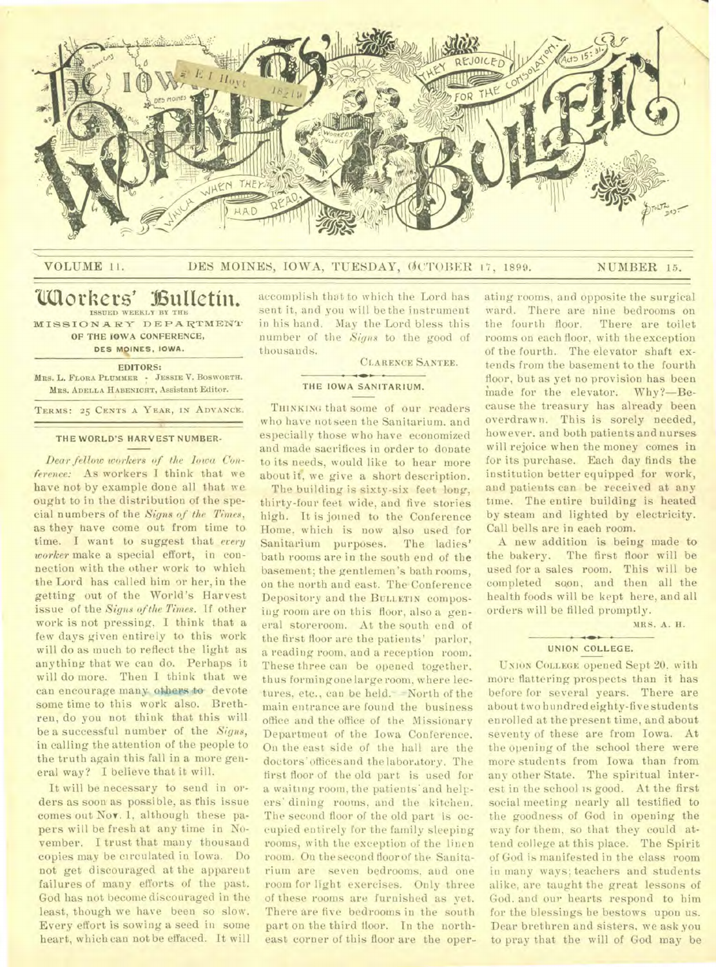

# VOLUME 11. DES MOINES, IOWA, TUESDAY, ØCTOBER 17, 1899. NUMBER 15.

# **Workers' Bulletin. ISSUED WEEKLY BY THE**

**MISSION ARY DEPARTMENT OF THE IOWA CONFERENCE, DES MOINES, IOWA.** 

**EDITORS:** 

**MRS. L. FLORA PLUMMER · JESSIE V. BOSWORTH. MRS. ADELLA HABENICHT,** Assistant Editor.

**TERMS: 25 CENTS A YEAR, IN ADVANCE,** 

# **THE WORLD'S HARVEST NUMBER-**

*Dear fellow workers of the Iowa Conference:* As workers I think that we have not by example done all that we ought to in the distribution of the special numbers of the *Signs of the Times,*  as they have come out from time to time. I want to suggest that *every worker* make a special effort, in connection with the other work to which the Lord has called him or her, in the getting out of the World's Harvest issue of the *Signs of the Times.* If other work is not pressing, I think that a few days given entirely to this work will do as much to reflect the light as anything that we can do. Perhaps it will do more. Then I think that we can encourage many others to devote some time to this work also. Brethren, do you not think that this will be a successful number of the *Signs,*  in calling the attention of the people to the truth again this fall in a more general way? I believe that it will.

It will be necessary to send in orders as soon as possible, as this issue comes out Nov. 1, although these papers will be fresh at any time in November. I trust that many thousand copies may be circulated in Iowa. Do not get discouraged at the apparent failures of many efforts of the past. God has not become discouraged in the least, though we have been so slow. Every effort is sowing a seed in some heart, which can not be effaced. It will

accomplish that to which the Lord has sent it, and you will be the instrument in his hand. May the Lord bless this number of the *Signs* to the good of thousands.

CLARENCE SANTEE.

#### **THE IOWA SANITARIUM.**

THINKING that some of our readers who have not seen the Sanitarium. and especially those who have economized and made sacrifices in order to donate to its needs, would like to hear more about it, we give a short description.

The building is sixty-six feet long, thirty-four feet wide, and five stories high. It is joined to the Conference Home. which is now also used for Sanitarium purposes. The ladies' bath rooms are in the south end of the basement; the gentlemen's bath rooms, on the north and east. The Conference Depository and the BULLETIN composing room are on this floor, also a general storeroom. At the south end of the first floor are the patients' parlor, a reading room, and a reception room. These three can be opened together, thus forming one large room, where lectures, etc., can be held. -North of the main entrance are found the business office and the office of the Missionary Department of the Iowa Conference. On the east side of the hall are the doctors' offices and the laboratory. The first floor of the old part is used for a waiting room, the patients' and helpers' dining rooms, and the kitchen. The second floor of the old part is occupied entirely for the family sleeping rooms, with the exception of the linen room. On the second floor of the Sanitarium are seven bedrooms. and one room for light exercises. Only three of these rooms are furnished as yet. There are five bedrooms in the south part on the third floor. In the northeast corner of this floor are the operating rooms, and opposite the surgical ward. There are nine bedrooms on the fourth floor. There are toilet rooms on each floor, with the exception of the fourth. The elevator shaft extends from the basement to the fourth floor, but as yet no provision has been made for the elevator. Why?—Because the treasury has already been overdrawn. This is sorely needed, however. and both patients and nurses will rejoice when the money comes in for its purchase. Each day finds the institution better equipped for work, and patients can be received at any time. The entire building is heated by steam and lighted by electricity. Call bells are in each room.

A new addition is being made to the bakery. The first floor will be used for a sales room. This will be completed soon, and then all the health foods will be kept here, and all orders will be filled promptly.

MRS. A. H.

#### **UNION COLLEGE.**

UNION COLLEGE opened Sept 20. with more flattering prospects than it has before for several years. There are about two hundred eighty-five students enrolled at thepresent time, and about seventy of these are from Iowa. At the opening of the school there were more students from Iowa than from any other State. The spiritual interest in the school is good. At the first social meeting nearly all testified to the goodness of God in opening the way for them, so that they could attend college at this place. The Spirit of God is manifested in the class room in many ways; teachers and students alike. are taught the great lessons of God. and our hearts respond to him for the blessings he bestows upon us. Dear brethren and sisters, we ask you to pray that the will of God may be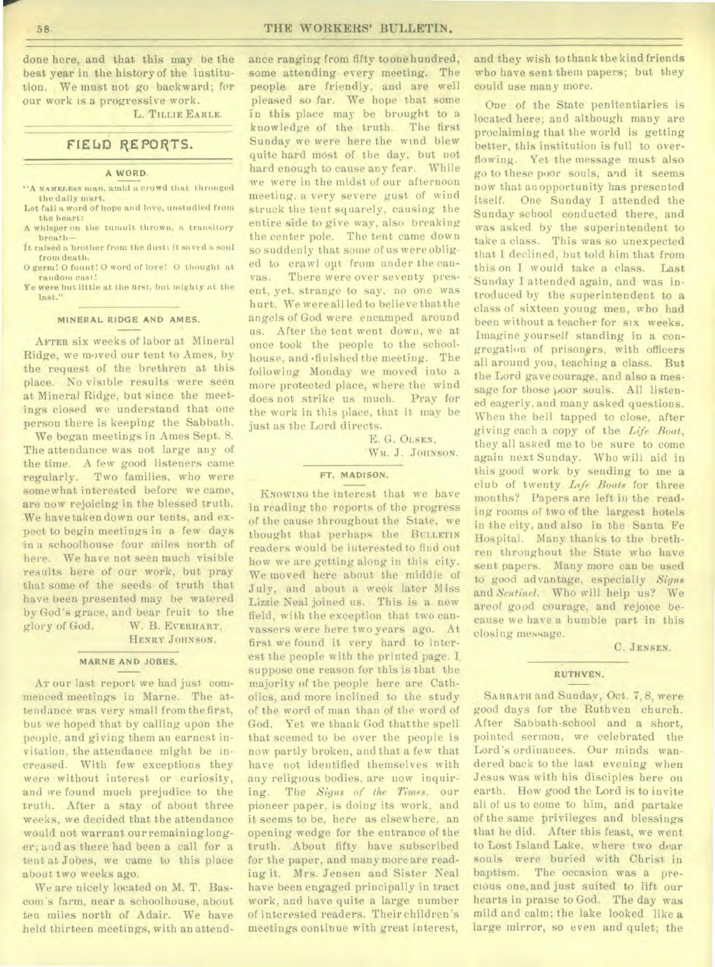done here, and that this may be the best year in the history of the institution. We must not go backward; for our work is a progressive work.

L. **TILLIE EARLE.** 

# FIEbD REPORTS.

#### **A WORD.**

- **"A NAME.LESS lain"** amid a crowd that thronged the daily mart,
- Let fall a word of hope and love, unstudied from the heart:
- A whisper on the tumult thrown, a transitory breath—
- It raisedabrother from the dust; it saved a soul from death.
- 0 germ! 0 fount! 0 word of love! 0 thought at random cast!
- Ye were but little at the first, but mighty at the last."

# **MINERAL RIDGE AND AMES.**

AFTER six weeks of labor at Mineral Ridge, we moved our tent to Ames, by the request of the brethren at this place. No visible results were seen at Mineral Ridge, but since the meetings closed we understand that one person there is keeping the Sabbath.

We began meetings in Ames Sept. 8. The attendance was not large any of the time. A few good listeners came regularly. Two families, who were somewhat interested before we came, are now rejoicing in the blessed truth. We have taken down our tents, and expect to begin meetings in a few days in a schoolhouse four miles north of here. We have not seen much visible results here of our work, but pray that some of the seeds of truth that have been presented may be watered by God's grace, and bear fruit to the glory of God. W. B. EVERHART,

HENRY JOHNSON.

# **MARNE AND JOBES,**

AT our last report we had just commenced meetings in Marne. The attendance was very small from the first, but we hoped that by calling upon the people. and giving them an earnest invitation, the attendance might be increased. With few exceptions they were without interest or curiosity, and we found much prejudice to the truth. After a stay of about three weeks, we decided that the attendance would not warrant our remaininglonger; and as there had been a call for a tent at Jobes, we came to this place about two weeks ago.

We are nicely located on M. T. Bascom's farm, near a schoolhouse, about ten miles north of Adair. We have held thirteen meetings, with an attendance ranging from fifty toonehuudred, some attending every meeting. The people are friendly, and are well pleased so far. We hope that some in this place may be brought to a knowledge of the truth. The first Sunday we were here the wind blew quite hard most of the day. but not hard enough to cause any fear. While we were in the midst of our afternoon meeting. a very severe gust of wind struck the tent squarely, causing the entire side to give way, also breaking the center pole. The tent came down so suddenly that some of us were obliged to crawl opt from under the canvas. There were over seventy present, yet. strange to say, no one was hurt. We were all led to believe that the angels of God were encamped around us. After the tent went down, we at once took the people to the schoolhouse, and .finished the meeting. The following Monday we moved into a more protected place, where the wind does not strike us much. Pray for the work in this place, that it may be just as the Lord directs.

> E. G. OLSEN, WM. J. JOHNSON.

# **FT. MADISON.**

KNOWING the interest that we have in reading the reports of the progress of the cause throughout the State, we thought that perhaps the BULLETIN readers would be interested to find out how we are getting along in this city. We moved here about the middle of July, and about a week later Miss Lizzie Neal joined us. This is a new field, with the exception that two canvassers were here two years ago. At first we found it very hard to interest the people with the printed page. I. suppose one reason for this is that the majority of the people here are Catholics, and more inclined to the study of the word of man than of the word of God. Yet we thank God that the spell that seemed to be over the people is now partly broken, and that a few that have not identified themselves with any religious bodies, are now inquiring. The *Signs of the Times,* our pioneer paper, is doing its work, and it seems to be, here as elsewhere, an opening wedge for the entrance of the truth. About fifty have subscribed for the paper, and many more are reading it. Mrs. Jensen and Sister Neal have been engaged principally in tract work, and have quite a large number of interested readers. Their children's meetings continue with great interest,

and they wish to thank the kind friends who have sent them papers; but they could use many more.

One of the State penitentiaries is located here; and although many are proclaiming that the world is getting better, this institution is full to overflowing. Yet the message must also go to these poor souls, and it seems now that an opportunity has presented itself. One Sunday I attended the Sunday school conducted there, and was asked by the superintendent **to**  take a class. This was so unexpected that I declined, but told him that from this on I would take a class. Last Sunday I attended again, and was introduced by the superintendent to a class of sixteen young men, who had been without a teacher for six weeks. Imagine yourself standing in a congregation of prisoners, with officers all around you, teaching a class. But the Lord gave courage, and also a message for those poor souls. All listened eagerly, and many asked questions. When the bell tapped to close, after giving each a copy of the *Life Boat,*  they all asked me to be sure to come again next Sunday. Who will aid in this good work by sending to me a club of twenty *\_Life Boats* for three months? Papers are left in the reading rooms of two of the largest hotels in the city, and also in the Santa Fe Hospital. Many thanks to the brethren throughout the State who have sent papers. Many more can be used to good advantage, especially *Signs*  and *Sentinel.* Who will help us? We areof good courage, and rejoice because we have a humble part in this closing message.

C. JENSEN.

# **RUTHVEN.**

SABBATH and Sunday, Oct. 7, 8, were good days for the Ruthven church. After Sabbath-school and a short, pointed sermon, we celebrated the Lord's ordinances. Our minds wandered back to the last evening when Jesus was with his disciples here on earth. How good the Lord is to invite all of us to come to him, and partake of the same privileges and blessings that he did. After this feast, we went to Lost Island Lake, where two dear souls were buried with Christ in baptism. The occasion was a precious one, and just suited to lift our hearts in praise to God. The day was mild and calm; the lake looked like **a**  large mirror, so even and quiet; the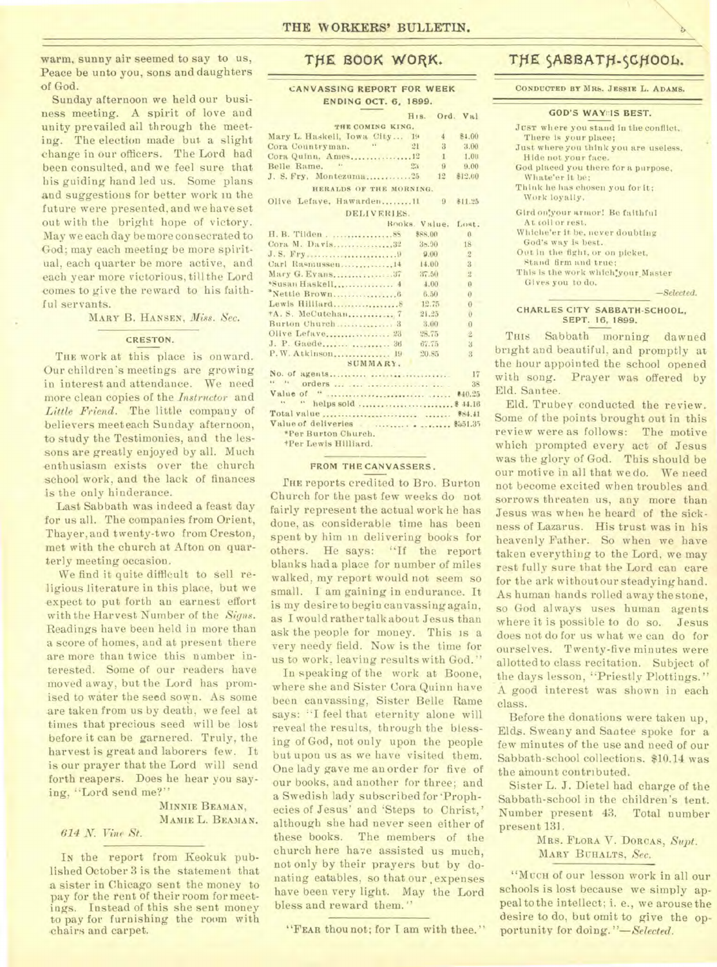warm, sunny air seemed to say to us, Peace be unto you, sons and daughters of God.

Sunday afternoon we held our business meeting. A spirit of love and unity prevailed all through the meeting. The election made but. a slight change in our officers. The Lord had been consulted, and we feel sure that his guiding hand led us. Some plans and suggestions for better work in the future were presented, and we have set out with the bright hope of victory. May we each day be more consecrated to God; may each meeting be more spiritual, each quarter be more active, and each year more victorious, till the Lord comes to give the reward to his faithful servants.

MARY B. HANSEN, *Miss. Sec.* 

#### CRESTON.

THE work at this place is onward. Our children's meetings are growing in interest and attendance. We need more clean copies of the *Instructor* and *Little Friend.* The little company of believers meet each Sunday afternoon, to study the Testimonies, and the lessons are greatly enjoyed by all. Much enthusiasm exists over the church school work, and the lack of finances is the only hinderance.

Last Sabbath was indeed a feast day for us all. The companies from Orient, Thayer, and twenty-two from Creston, met with the church at Afton on quarterly meeting occasion.

We find it quite difficult to sell religious literature in this place, but we expect to put forth an earnest effort with the Harvest Number of the *Signs.*  Readings have been held in more than a score of homes, and at present there are more than twice this number interested. Some of our readers have moved away, but the Lord has promised to water the seed sown. As some are taken from us by death, we feel at times that precious seed will be lost before it can be garnered. Truly, the harvest is great and laborers few. It is our prayer that the Lord will send forth reapers. Does he hear you saying, "Lord send me?"

# MINNIE BEAMAN, MAMIE L. BEAMAN.

# *614 Ni Vine St.*

IN the report from Keokuk published October 3 is the statement that a sister in Chicago sent the money to pay for the rent of their room for meetings. Instead of this she sent money to pay for furnishing the room with -chairs and carpet.

# **TfiE BOOK WORK.**

#### **CANVASSING REPORT FOR WEEK ENDING OCT. 6, 1899.**

|                                           | H <sub>18</sub> . Ord. Val |              |                |
|-------------------------------------------|----------------------------|--------------|----------------|
| THE COMING KING.                          |                            |              |                |
| Mary L. Haskell, Jowa City 19             |                            | 4            | \$4.00         |
| Cora Countryman. "21                      |                            | 3            | 3.00           |
| Cora Quinn, Ames12                        |                            | $\mathbf{1}$ | 1.00           |
| Belle Rame.                               | 23                         | $-9$         | 9.00           |
| J. S. Fry. Montezuma25                    |                            | 12           | \$12.00        |
| HERALDS OF THE MORNING.                   |                            |              |                |
| Olive Lefaye, Hawarden11 9                |                            |              | 811.25         |
| DELIVERIES.                               |                            |              |                |
|                                           | Books, Value, Lost.        |              |                |
| H. B. Tilden 85                           | \$88.00                    |              | $\theta$       |
| Cora M. Davis32                           | 38.90                      |              | 18             |
|                                           | 9.00                       |              | $\overline{2}$ |
| Carl Rasmussen 14                         | 14.00                      |              | $\mathbf{B}$   |
| Mary G. Evans37                           | 37.50                      |              | $\overline{2}$ |
|                                           | 4.00                       |              | $\Omega$       |
|                                           | 6.50                       |              | $\Omega$       |
|                                           | 12.75                      |              | $\theta$       |
| *A. S. McCutchan 7                        | 21.25                      |              | $\theta$       |
| Burton Church 3                           | 3.00                       |              | $\Omega$       |
|                                           | 28.75                      |              | $\overline{2}$ |
|                                           | 67.75                      |              | $\mathbf{3}$   |
| P.W. Atkinson 19                          | 20.85                      |              | $\mathbf{B}$   |
| SUMMARY.                                  |                            |              |                |
|                                           |                            |              | 17             |
|                                           |                            |              |                |
|                                           |                            |              |                |
|                                           |                            |              |                |
|                                           |                            |              |                |
|                                           |                            |              |                |
| *Per Burton Church.                       |                            |              |                |
| *Per Lewis Hilliard.<br><b>Contractor</b> |                            |              |                |

#### **FROM THE CANVASSERS.**

THE reports credited to Bro. Burton Church for the past few weeks do not fairly represent the actual work he has done, as considerable time has been spent by him in delivering books for others. He says: "If the report blanks had a place for number of miles walked, my report would not seem so small. I am gaining in endurance. It is my desire to begin canvassing again, as I would rather talk about Jesus than ask the people for money. This is a very needy field. Now is the time for us to work, leaving results with God."

In speaking of the work at Boone, where she and Sister Cora Quinn have been canvassing, Sister Belle Rame says: "I feel that eternity alone will reveal the results, through the blessing of God, not only upon the people but upon us as we have visited them. One lady gave me an order for five of our books, and another for three; and a Swedish lady subscribed for 'Prophecies of Jesus' and 'Steps to Christ,' although she had never seen either of these books. The members of the church here have assisted us much, not only by their prayers but by donating eatables, so that our expenses have been very light. May the Lord bless and reward them."

"FEAR thou not; for I am with thee."

# THE SABBATH-SCHOOL.

**CONDUCTED BY MRS. JESSIE** L. **ADAMS.** 

## **GOD'S WAYES BEST.**

| JUST where you stand in the conflict, |
|---------------------------------------|
| There is your place:                  |
| Just where you think you are useless. |
| Hide not your face.                   |
| God placed you there for a purpose,   |
| Whate'er it be:                       |
| Think he has chosen you for it;       |
| Work loyally,                         |
| Gird on'your armor! Be faithful       |
| At coil or rest.                      |
| Whiche'er it be, never doubting       |
| God's way is best.                    |
| Out in the fight, or on picket.       |
| Stand firm and true:                  |
| This is the work which your Master    |
| Gives you to do.                      |
| $-Selected.$                          |
|                                       |

#### **CHARLES CITY SABBATH-SCHOOL, SEPT. 16, 1899.**

THIS Sabbath morning dawned bright and beautiful, and promptly at the hour appointed the school opened with song. Prayer was offered by Eld. Santee.

Eld. Trubey conducted the review. Some of the points brought out in this review were as follows: The motive which prompted every act of Jesus was the glory of God. This should be our motive in all that we do. We need not become excited when troubles and sorrows threaten us, any more than Jesus was when he heard of the sickness of Lazarus. His trust was in his heavenly Father. So when we have taken everything to the Lord, we may rest fully sure that the Lord can care for the ark without our steadying hand. As human hands rolled away the stone, so God always uses human agents where it is possible to do so. Jesus does not do for us what we can do for ourselves. Twenty-five minutes were allottedto class recitation. Subject of the days lesson, "Priestly Plottings." A good interest was shown in each class.

Before the donations were taken up, Elds. Sweany and Santee spoke for a few minutes of the use and need of our Sabbath-school collections. \$10.14 was the amount contributed.

Sister L. J. Dietel had charge of the Sabbath-school in the children's tent. Number present 43. Total number present 131.

> MRS. FLORA V. DORCAS, *Supt.*  MARY BUHALTS, *Sec.*

"MUCH of our lesson work in all our schools is lost because we simply appeal to the intellect; i. e., we arouse the desire to do, but omit to give the opportunity for doing. *"—Selected.*